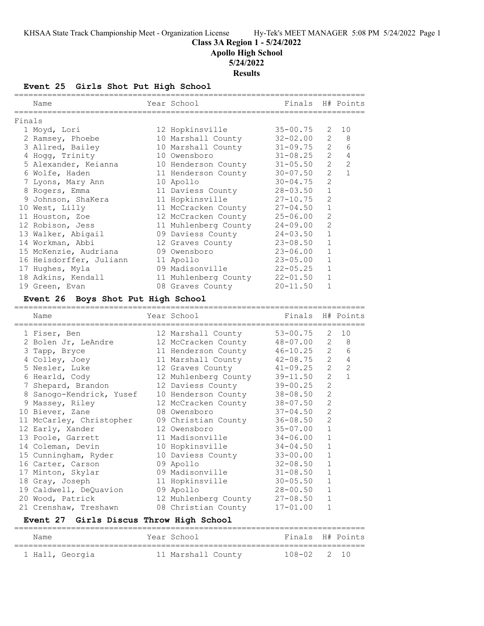**Class 3A Region 1 - 5/24/2022**

**Apollo High School**

**5/24/2022**

**Results**

**Event 25 Girls Shot Put High School**

| Finals<br>$35 - 00.75$<br>12 Hopkinsville<br>2<br>10<br>1 Moyd, Lori<br>$32 - 02.00$<br>$\mathbf{2}^{\mathsf{I}}$<br>8<br>2 Ramsey, Phoebe<br>10 Marshall County<br>$\overline{2}$<br>3 Allred, Bailey<br>$31 - 09.75$<br>6<br>10 Marshall County<br>$\overline{2}$<br>4 Hogg, Trinity<br>$31 - 08.25$<br>4<br>10 Owensboro<br>$31 - 05.50$<br>$\mathbf{2}^{\prime}$<br>2<br>5 Alexander, Keianna<br>10 Henderson County<br>2.<br>$\mathbf{1}$<br>6 Wolfe, Haden<br>$30 - 07.50$<br>11 Henderson County<br>$\overline{2}$<br>10 Apollo<br>$30 - 04.75$<br>7 Lyons, Mary Ann<br>$\mathbf{1}$<br>$28 - 03.50$<br>8 Rogers, Emma<br>11 Daviess County<br>2<br>11 Hopkinsville<br>9 Johnson, ShaKera<br>$27 - 10.75$<br>1<br>10 West, Lilly<br>$27 - 04.50$<br>11 McCracken County<br>2<br>11 Houston, Zoe<br>12 McCracken County<br>$25 - 06.00$<br>2<br>12 Robison, Jess<br>11 Muhlenberg County<br>$24 - 09.00$<br>$\mathbf{1}$<br>$24 - 03.50$<br>13 Walker, Abigail<br>09 Daviess County<br>$\mathbf{1}$<br>$23 - 08.50$<br>14 Workman, Abbi<br>12 Graves County<br>15 McKenzie, Audriana<br>$\mathbf 1$<br>09 Owensboro<br>$23 - 06.00$<br>1<br>16 Heisdorffer, Juliann<br>11 Apollo<br>$23 - 05.00$<br>17 Hughes, Myla<br>09 Madisonville<br>$22 - 05.25$<br>1<br>18 Adkins, Kendall<br>11 Muhlenberg County<br>$22 - 01.50$<br>1<br>$\mathbf{1}$<br>$20 - 11.50$<br>19 Green, Evan<br>08 Graves County<br>Event 26 Boys Shot Put High School<br>Year School<br>Finals<br>H# Points<br>Name<br>$53 - 00.75$<br>2<br>10<br>12 Marshall County<br>1 Fiser, Ben<br>$\mathbf{2}$<br>8<br>2 Bolen Jr, LeAndre<br>48-07.00<br>12 McCracken County<br>$\overline{2}$<br>$46 - 10.25$<br>6<br>3 Tapp, Bryce<br>11 Henderson County<br>$\overline{2}$<br>4 Colley, Joey<br>$42 - 08.75$<br>4<br>11 Marshall County<br>2<br>2<br>5 Nesler, Luke<br>$41 - 09.25$<br>12 Graves County<br>2<br>$\mathbf{1}$<br>12 Muhlenberg County<br>39-11.50<br>6 Hearld, Cody<br>$\overline{2}$<br>12 Daviess County<br>$39 - 00.25$<br>7 Shepard, Brandon<br>$\mathbf{2}$<br>$38 - 08.50$<br>8 Sanogo-Kendrick, Yusef<br>10 Henderson County<br>$\mathbf{2}$<br>9 Massey, Riley<br>$38 - 07.50$<br>12 McCracken County |  |
|---------------------------------------------------------------------------------------------------------------------------------------------------------------------------------------------------------------------------------------------------------------------------------------------------------------------------------------------------------------------------------------------------------------------------------------------------------------------------------------------------------------------------------------------------------------------------------------------------------------------------------------------------------------------------------------------------------------------------------------------------------------------------------------------------------------------------------------------------------------------------------------------------------------------------------------------------------------------------------------------------------------------------------------------------------------------------------------------------------------------------------------------------------------------------------------------------------------------------------------------------------------------------------------------------------------------------------------------------------------------------------------------------------------------------------------------------------------------------------------------------------------------------------------------------------------------------------------------------------------------------------------------------------------------------------------------------------------------------------------------------------------------------------------------------------------------------------------------------------------------------------------------------------------------------------------------------------------------------------------------------------------------------------------------------------------------------------------------------------------------------------------------------------------------------------------------------|--|
|                                                                                                                                                                                                                                                                                                                                                                                                                                                                                                                                                                                                                                                                                                                                                                                                                                                                                                                                                                                                                                                                                                                                                                                                                                                                                                                                                                                                                                                                                                                                                                                                                                                                                                                                                                                                                                                                                                                                                                                                                                                                                                                                                                                                   |  |
|                                                                                                                                                                                                                                                                                                                                                                                                                                                                                                                                                                                                                                                                                                                                                                                                                                                                                                                                                                                                                                                                                                                                                                                                                                                                                                                                                                                                                                                                                                                                                                                                                                                                                                                                                                                                                                                                                                                                                                                                                                                                                                                                                                                                   |  |
|                                                                                                                                                                                                                                                                                                                                                                                                                                                                                                                                                                                                                                                                                                                                                                                                                                                                                                                                                                                                                                                                                                                                                                                                                                                                                                                                                                                                                                                                                                                                                                                                                                                                                                                                                                                                                                                                                                                                                                                                                                                                                                                                                                                                   |  |
|                                                                                                                                                                                                                                                                                                                                                                                                                                                                                                                                                                                                                                                                                                                                                                                                                                                                                                                                                                                                                                                                                                                                                                                                                                                                                                                                                                                                                                                                                                                                                                                                                                                                                                                                                                                                                                                                                                                                                                                                                                                                                                                                                                                                   |  |
|                                                                                                                                                                                                                                                                                                                                                                                                                                                                                                                                                                                                                                                                                                                                                                                                                                                                                                                                                                                                                                                                                                                                                                                                                                                                                                                                                                                                                                                                                                                                                                                                                                                                                                                                                                                                                                                                                                                                                                                                                                                                                                                                                                                                   |  |
|                                                                                                                                                                                                                                                                                                                                                                                                                                                                                                                                                                                                                                                                                                                                                                                                                                                                                                                                                                                                                                                                                                                                                                                                                                                                                                                                                                                                                                                                                                                                                                                                                                                                                                                                                                                                                                                                                                                                                                                                                                                                                                                                                                                                   |  |
|                                                                                                                                                                                                                                                                                                                                                                                                                                                                                                                                                                                                                                                                                                                                                                                                                                                                                                                                                                                                                                                                                                                                                                                                                                                                                                                                                                                                                                                                                                                                                                                                                                                                                                                                                                                                                                                                                                                                                                                                                                                                                                                                                                                                   |  |
|                                                                                                                                                                                                                                                                                                                                                                                                                                                                                                                                                                                                                                                                                                                                                                                                                                                                                                                                                                                                                                                                                                                                                                                                                                                                                                                                                                                                                                                                                                                                                                                                                                                                                                                                                                                                                                                                                                                                                                                                                                                                                                                                                                                                   |  |
|                                                                                                                                                                                                                                                                                                                                                                                                                                                                                                                                                                                                                                                                                                                                                                                                                                                                                                                                                                                                                                                                                                                                                                                                                                                                                                                                                                                                                                                                                                                                                                                                                                                                                                                                                                                                                                                                                                                                                                                                                                                                                                                                                                                                   |  |
|                                                                                                                                                                                                                                                                                                                                                                                                                                                                                                                                                                                                                                                                                                                                                                                                                                                                                                                                                                                                                                                                                                                                                                                                                                                                                                                                                                                                                                                                                                                                                                                                                                                                                                                                                                                                                                                                                                                                                                                                                                                                                                                                                                                                   |  |
|                                                                                                                                                                                                                                                                                                                                                                                                                                                                                                                                                                                                                                                                                                                                                                                                                                                                                                                                                                                                                                                                                                                                                                                                                                                                                                                                                                                                                                                                                                                                                                                                                                                                                                                                                                                                                                                                                                                                                                                                                                                                                                                                                                                                   |  |
|                                                                                                                                                                                                                                                                                                                                                                                                                                                                                                                                                                                                                                                                                                                                                                                                                                                                                                                                                                                                                                                                                                                                                                                                                                                                                                                                                                                                                                                                                                                                                                                                                                                                                                                                                                                                                                                                                                                                                                                                                                                                                                                                                                                                   |  |
|                                                                                                                                                                                                                                                                                                                                                                                                                                                                                                                                                                                                                                                                                                                                                                                                                                                                                                                                                                                                                                                                                                                                                                                                                                                                                                                                                                                                                                                                                                                                                                                                                                                                                                                                                                                                                                                                                                                                                                                                                                                                                                                                                                                                   |  |
|                                                                                                                                                                                                                                                                                                                                                                                                                                                                                                                                                                                                                                                                                                                                                                                                                                                                                                                                                                                                                                                                                                                                                                                                                                                                                                                                                                                                                                                                                                                                                                                                                                                                                                                                                                                                                                                                                                                                                                                                                                                                                                                                                                                                   |  |
|                                                                                                                                                                                                                                                                                                                                                                                                                                                                                                                                                                                                                                                                                                                                                                                                                                                                                                                                                                                                                                                                                                                                                                                                                                                                                                                                                                                                                                                                                                                                                                                                                                                                                                                                                                                                                                                                                                                                                                                                                                                                                                                                                                                                   |  |
|                                                                                                                                                                                                                                                                                                                                                                                                                                                                                                                                                                                                                                                                                                                                                                                                                                                                                                                                                                                                                                                                                                                                                                                                                                                                                                                                                                                                                                                                                                                                                                                                                                                                                                                                                                                                                                                                                                                                                                                                                                                                                                                                                                                                   |  |
|                                                                                                                                                                                                                                                                                                                                                                                                                                                                                                                                                                                                                                                                                                                                                                                                                                                                                                                                                                                                                                                                                                                                                                                                                                                                                                                                                                                                                                                                                                                                                                                                                                                                                                                                                                                                                                                                                                                                                                                                                                                                                                                                                                                                   |  |
|                                                                                                                                                                                                                                                                                                                                                                                                                                                                                                                                                                                                                                                                                                                                                                                                                                                                                                                                                                                                                                                                                                                                                                                                                                                                                                                                                                                                                                                                                                                                                                                                                                                                                                                                                                                                                                                                                                                                                                                                                                                                                                                                                                                                   |  |
|                                                                                                                                                                                                                                                                                                                                                                                                                                                                                                                                                                                                                                                                                                                                                                                                                                                                                                                                                                                                                                                                                                                                                                                                                                                                                                                                                                                                                                                                                                                                                                                                                                                                                                                                                                                                                                                                                                                                                                                                                                                                                                                                                                                                   |  |
|                                                                                                                                                                                                                                                                                                                                                                                                                                                                                                                                                                                                                                                                                                                                                                                                                                                                                                                                                                                                                                                                                                                                                                                                                                                                                                                                                                                                                                                                                                                                                                                                                                                                                                                                                                                                                                                                                                                                                                                                                                                                                                                                                                                                   |  |
|                                                                                                                                                                                                                                                                                                                                                                                                                                                                                                                                                                                                                                                                                                                                                                                                                                                                                                                                                                                                                                                                                                                                                                                                                                                                                                                                                                                                                                                                                                                                                                                                                                                                                                                                                                                                                                                                                                                                                                                                                                                                                                                                                                                                   |  |
|                                                                                                                                                                                                                                                                                                                                                                                                                                                                                                                                                                                                                                                                                                                                                                                                                                                                                                                                                                                                                                                                                                                                                                                                                                                                                                                                                                                                                                                                                                                                                                                                                                                                                                                                                                                                                                                                                                                                                                                                                                                                                                                                                                                                   |  |
|                                                                                                                                                                                                                                                                                                                                                                                                                                                                                                                                                                                                                                                                                                                                                                                                                                                                                                                                                                                                                                                                                                                                                                                                                                                                                                                                                                                                                                                                                                                                                                                                                                                                                                                                                                                                                                                                                                                                                                                                                                                                                                                                                                                                   |  |
|                                                                                                                                                                                                                                                                                                                                                                                                                                                                                                                                                                                                                                                                                                                                                                                                                                                                                                                                                                                                                                                                                                                                                                                                                                                                                                                                                                                                                                                                                                                                                                                                                                                                                                                                                                                                                                                                                                                                                                                                                                                                                                                                                                                                   |  |
|                                                                                                                                                                                                                                                                                                                                                                                                                                                                                                                                                                                                                                                                                                                                                                                                                                                                                                                                                                                                                                                                                                                                                                                                                                                                                                                                                                                                                                                                                                                                                                                                                                                                                                                                                                                                                                                                                                                                                                                                                                                                                                                                                                                                   |  |
|                                                                                                                                                                                                                                                                                                                                                                                                                                                                                                                                                                                                                                                                                                                                                                                                                                                                                                                                                                                                                                                                                                                                                                                                                                                                                                                                                                                                                                                                                                                                                                                                                                                                                                                                                                                                                                                                                                                                                                                                                                                                                                                                                                                                   |  |
|                                                                                                                                                                                                                                                                                                                                                                                                                                                                                                                                                                                                                                                                                                                                                                                                                                                                                                                                                                                                                                                                                                                                                                                                                                                                                                                                                                                                                                                                                                                                                                                                                                                                                                                                                                                                                                                                                                                                                                                                                                                                                                                                                                                                   |  |
|                                                                                                                                                                                                                                                                                                                                                                                                                                                                                                                                                                                                                                                                                                                                                                                                                                                                                                                                                                                                                                                                                                                                                                                                                                                                                                                                                                                                                                                                                                                                                                                                                                                                                                                                                                                                                                                                                                                                                                                                                                                                                                                                                                                                   |  |
|                                                                                                                                                                                                                                                                                                                                                                                                                                                                                                                                                                                                                                                                                                                                                                                                                                                                                                                                                                                                                                                                                                                                                                                                                                                                                                                                                                                                                                                                                                                                                                                                                                                                                                                                                                                                                                                                                                                                                                                                                                                                                                                                                                                                   |  |
|                                                                                                                                                                                                                                                                                                                                                                                                                                                                                                                                                                                                                                                                                                                                                                                                                                                                                                                                                                                                                                                                                                                                                                                                                                                                                                                                                                                                                                                                                                                                                                                                                                                                                                                                                                                                                                                                                                                                                                                                                                                                                                                                                                                                   |  |
|                                                                                                                                                                                                                                                                                                                                                                                                                                                                                                                                                                                                                                                                                                                                                                                                                                                                                                                                                                                                                                                                                                                                                                                                                                                                                                                                                                                                                                                                                                                                                                                                                                                                                                                                                                                                                                                                                                                                                                                                                                                                                                                                                                                                   |  |
|                                                                                                                                                                                                                                                                                                                                                                                                                                                                                                                                                                                                                                                                                                                                                                                                                                                                                                                                                                                                                                                                                                                                                                                                                                                                                                                                                                                                                                                                                                                                                                                                                                                                                                                                                                                                                                                                                                                                                                                                                                                                                                                                                                                                   |  |
| 10 Biever, Zane<br>2<br>$37 - 04.50$<br>08 Owensboro                                                                                                                                                                                                                                                                                                                                                                                                                                                                                                                                                                                                                                                                                                                                                                                                                                                                                                                                                                                                                                                                                                                                                                                                                                                                                                                                                                                                                                                                                                                                                                                                                                                                                                                                                                                                                                                                                                                                                                                                                                                                                                                                              |  |
| 2<br>11 McCarley, Christopher<br>09 Christian County<br>$36 - 08.50$                                                                                                                                                                                                                                                                                                                                                                                                                                                                                                                                                                                                                                                                                                                                                                                                                                                                                                                                                                                                                                                                                                                                                                                                                                                                                                                                                                                                                                                                                                                                                                                                                                                                                                                                                                                                                                                                                                                                                                                                                                                                                                                              |  |
| $35 - 07.00$<br>1<br>12 Early, Xander<br>12 Owensboro                                                                                                                                                                                                                                                                                                                                                                                                                                                                                                                                                                                                                                                                                                                                                                                                                                                                                                                                                                                                                                                                                                                                                                                                                                                                                                                                                                                                                                                                                                                                                                                                                                                                                                                                                                                                                                                                                                                                                                                                                                                                                                                                             |  |
| $34 - 06.00$<br>1<br>13 Poole, Garrett<br>11 Madisonville                                                                                                                                                                                                                                                                                                                                                                                                                                                                                                                                                                                                                                                                                                                                                                                                                                                                                                                                                                                                                                                                                                                                                                                                                                                                                                                                                                                                                                                                                                                                                                                                                                                                                                                                                                                                                                                                                                                                                                                                                                                                                                                                         |  |
| $1\,$<br>14 Coleman, Devin<br>10 Hopkinsville<br>$34 - 04.50$                                                                                                                                                                                                                                                                                                                                                                                                                                                                                                                                                                                                                                                                                                                                                                                                                                                                                                                                                                                                                                                                                                                                                                                                                                                                                                                                                                                                                                                                                                                                                                                                                                                                                                                                                                                                                                                                                                                                                                                                                                                                                                                                     |  |
| 10 Daviess County<br>$33 - 00.00$<br>15 Cunningham, Ryder<br>1                                                                                                                                                                                                                                                                                                                                                                                                                                                                                                                                                                                                                                                                                                                                                                                                                                                                                                                                                                                                                                                                                                                                                                                                                                                                                                                                                                                                                                                                                                                                                                                                                                                                                                                                                                                                                                                                                                                                                                                                                                                                                                                                    |  |
| 16 Carter, Carson<br>$32 - 08.50$<br>$\mathbf 1$<br>09 Apollo                                                                                                                                                                                                                                                                                                                                                                                                                                                                                                                                                                                                                                                                                                                                                                                                                                                                                                                                                                                                                                                                                                                                                                                                                                                                                                                                                                                                                                                                                                                                                                                                                                                                                                                                                                                                                                                                                                                                                                                                                                                                                                                                     |  |
| 17 Minton, Skylar<br>09 Madisonville<br>$31 - 08.50$<br>1                                                                                                                                                                                                                                                                                                                                                                                                                                                                                                                                                                                                                                                                                                                                                                                                                                                                                                                                                                                                                                                                                                                                                                                                                                                                                                                                                                                                                                                                                                                                                                                                                                                                                                                                                                                                                                                                                                                                                                                                                                                                                                                                         |  |
| 18 Gray, Joseph<br>11 Hopkinsville<br>$30 - 05.50$<br>1                                                                                                                                                                                                                                                                                                                                                                                                                                                                                                                                                                                                                                                                                                                                                                                                                                                                                                                                                                                                                                                                                                                                                                                                                                                                                                                                                                                                                                                                                                                                                                                                                                                                                                                                                                                                                                                                                                                                                                                                                                                                                                                                           |  |
| $28 - 00.50$<br>$\mathbf{1}$<br>19 Caldwell, DeQuavion<br>09 Apollo                                                                                                                                                                                                                                                                                                                                                                                                                                                                                                                                                                                                                                                                                                                                                                                                                                                                                                                                                                                                                                                                                                                                                                                                                                                                                                                                                                                                                                                                                                                                                                                                                                                                                                                                                                                                                                                                                                                                                                                                                                                                                                                               |  |
| 20 Wood, Patrick<br>$27 - 08.50$<br>1<br>12 Muhlenberg County                                                                                                                                                                                                                                                                                                                                                                                                                                                                                                                                                                                                                                                                                                                                                                                                                                                                                                                                                                                                                                                                                                                                                                                                                                                                                                                                                                                                                                                                                                                                                                                                                                                                                                                                                                                                                                                                                                                                                                                                                                                                                                                                     |  |
| 21 Crenshaw, Treshawn<br>08 Christian County<br>$17 - 01.00$<br>1                                                                                                                                                                                                                                                                                                                                                                                                                                                                                                                                                                                                                                                                                                                                                                                                                                                                                                                                                                                                                                                                                                                                                                                                                                                                                                                                                                                                                                                                                                                                                                                                                                                                                                                                                                                                                                                                                                                                                                                                                                                                                                                                 |  |
| Event 27 Girls Discus Throw High School                                                                                                                                                                                                                                                                                                                                                                                                                                                                                                                                                                                                                                                                                                                                                                                                                                                                                                                                                                                                                                                                                                                                                                                                                                                                                                                                                                                                                                                                                                                                                                                                                                                                                                                                                                                                                                                                                                                                                                                                                                                                                                                                                           |  |
| H# Points<br>Year School<br>Finals<br>Name                                                                                                                                                                                                                                                                                                                                                                                                                                                                                                                                                                                                                                                                                                                                                                                                                                                                                                                                                                                                                                                                                                                                                                                                                                                                                                                                                                                                                                                                                                                                                                                                                                                                                                                                                                                                                                                                                                                                                                                                                                                                                                                                                        |  |

========================================================================== 1 Hall, Georgia 11 Marshall County 108-02 2 10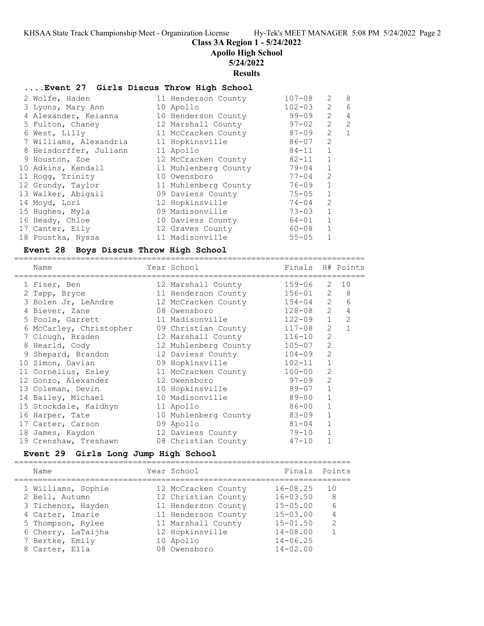**Class 3A Region 1 - 5/24/2022**

**Apollo High School**

**5/24/2022**

**Results**

#### **....Event 27 Girls Discus Throw High School**

| 2 Wolfe, Haden         | 11 Henderson County  | $107 - 08$ | $\mathcal{L}$  | 8 |
|------------------------|----------------------|------------|----------------|---|
| 3 Lyons, Mary Ann      | 10 Apollo            | $102 - 03$ | 2              | 6 |
| 4 Alexander, Keianna   | 10 Henderson County  | $99 - 09$  | $\mathcal{L}$  | 4 |
| 5 Fulton, Chaney       | 12 Marshall County   | $97 - 02$  | 2              | 2 |
| 6 West, Lilly          | 11 McCracken County  | 87-09      | $\overline{2}$ | 1 |
| 7 Williams, Alexandria | 11 Hopkinsville      | 86-07      | 2              |   |
| 8 Heisdorffer, Juliann | 11 Apollo            | 84-11      | $\mathbf{1}$   |   |
| 9 Houston, Zoe         | 12 McCracken County  | 82-11      | $\mathbf{1}$   |   |
| 10 Adkins, Kendall     | 11 Muhlenberg County | 79-04      | $\mathbf{1}$   |   |
| 11 Hogg, Trinity       | 10 Owensboro         | $77 - 04$  | $\overline{2}$ |   |
| 12 Grundy, Taylor      | 11 Muhlenberg County | 76-09      | $\mathbf 1$    |   |
| 13 Walker, Abigail     | 09 Daviess County    | $75 - 05$  | $\mathbf{1}$   |   |
| 14 Moyd, Lori          | 12 Hopkinsville      | $74 - 04$  | $\overline{2}$ |   |
| 15 Hughes, Myla        | 09 Madisonville      | $73 - 03$  | $\mathbf{1}$   |   |
| 16 Heady, Chloe        | 10 Daviess County    | $64 - 01$  | $\mathbf{1}$   |   |
| 17 Canter, Eily        | 12 Graves County     | 60-08      | $\mathbf{1}$   |   |
| 18 Poustka, Nyssa      | 11 Madisonville      | $55 - 05$  | 1              |   |

#### **Event 28 Boys Discus Throw High School**

========================================================================== Name Year School Finals H# Points ========================================================================== 1 Fiser, Ben 12 Marshall County 159-06 2 10 2 Tapp, Bryce 11 Henderson County 156-01 2 8 3 Bolen Jr, LeAndre 12 McCracken County 154-04 2 6 4 Biever, Zane 08 Owensboro 128-08 2 4 5 Poole, Garrett 11 Madisonville 122-09 1 2 6 McCarley, Christopher 09 Christian County 117-08 2 1 7 Clough, Braden 12 Marshall County 116-10 2 8 Hearld, Cody 12 Muhlenberg County 105-07 2 9 Shepard, Brandon 12 Daviess County 104-09 2 10 Simon, Davian 09 Hopkinsville 102-11 1 11 Cornelius, Esley 11 McCracken County 100-00 2 12 Gonzo, Alexander 12 Owensboro 97-09 2 13 Coleman, Devin 10 Hopkinsville 89-07 1 14 Bailey, Michael 10 Madisonville 89-00 1 15 Stockdale, Kaidhyn 11 Apollo 86-00 1 16 Harper, Tate 10 Muhlenberg County 83-09 1 17 Carter, Carson and 09 Apollo 81-04 1 18 James, Kaydon 12 Daviess County 79-10 1 19 Crenshaw, Treshawn 08 Christian County 47-10 1

# **Event 29 Girls Long Jump High School**

======================================================================= Name Year School Finals Points ======================================================================= 1 Williams, Sophie 12 McCracken County 16-08.25 10 2 Bell, Autumn 12 Christian County 16-03.50 8 3 Tichenor, Hayden 11 Henderson County 15-05.00 6 4 Carter, Imarie 11 Henderson County 15-03.00 4 5 Thompson, Rylee 11 Marshall County 15-01.50 2 6 Cherry, LaTaijha 12 Hopkinsville 14-08.00 1 7 Bertke, Emily 10 Apollo 14-06.25 8 Carter, Ella 08 Owensboro 14-02.00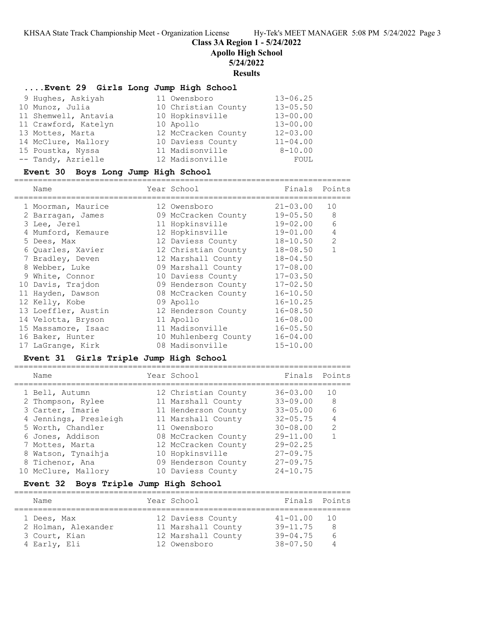**Class 3A Region 1 - 5/24/2022**

**Apollo High School**

### **5/24/2022**

**Results**

# **....Event 29 Girls Long Jump High School**

| 9 Hughes, Askiyah    | 11 Owensboro        | $13 - 06.25$ |
|----------------------|---------------------|--------------|
| 10 Munoz, Julia      | 10 Christian County | $13 - 05.50$ |
| 11 Shemwell, Antavia | 10 Hopkinsville     | $13 - 00.00$ |
| 11 Crawford, Katelyn | 10 Apollo           | $13 - 00.00$ |
| 13 Mottes, Marta     | 12 McCracken County | $12 - 03.00$ |
| 14 McClure, Mallory  | 10 Daviess County   | $11 - 04.00$ |
| 15 Poustka, Nyssa    | 11 Madisonville     | $8 - 10.00$  |
| -- Tandy, Azrielle   | 12 Madisonville     | FOUL         |

### **Event 30 Boys Long Jump High School**

=======================================================================

| Name                | Year School          | Finals       | Points        |
|---------------------|----------------------|--------------|---------------|
| 1 Moorman, Maurice  | 12 Owensboro         | $21 - 03.00$ | 10            |
| 2 Barragan, James   | 09 McCracken County  | $19 - 05.50$ | 8             |
| 3 Lee, Jerel        | 11 Hopkinsville      | $19 - 02.00$ | 6             |
| 4 Mumford, Kemaure  | 12 Hopkinsville      | $19 - 01.00$ | 4             |
| 5 Dees, Max         | 12 Daviess County    | $18 - 10.50$ | $\mathcal{L}$ |
| 6 Ouarles, Xavier   | 12 Christian County  | $18 - 08.50$ |               |
| 7 Bradley, Deven    | 12 Marshall County   | $18 - 04.50$ |               |
| 8 Webber, Luke      | 09 Marshall County   | $17 - 08.00$ |               |
| 9 White, Connor     | 10 Daviess County    | $17 - 03.50$ |               |
| 10 Davis, Trajdon   | 09 Henderson County  | $17 - 02.50$ |               |
| 11 Hayden, Dawson   | 08 McCracken County  | $16 - 10.50$ |               |
| 12 Kelly, Kobe      | 09 Apollo            | $16 - 10.25$ |               |
| 13 Loeffler, Austin | 12 Henderson County  | $16 - 08.50$ |               |
| 14 Velotta, Bryson  | 11 Apollo            | $16 - 08.00$ |               |
| 15 Massamore, Isaac | 11 Madisonville      | $16 - 05.50$ |               |
| 16 Baker, Hunter    | 10 Muhlenberg County | $16 - 04.00$ |               |
| 17 LaGrange, Kirk   | 08 Madisonville      | $15 - 10.00$ |               |

### **Event 31 Girls Triple Jump High School**

| Name                  | Year School         | Finals Points |               |
|-----------------------|---------------------|---------------|---------------|
| 1 Bell, Autumn        | 12 Christian County | $36 - 03.00$  | 1.0           |
| 2 Thompson, Rylee     | 11 Marshall County  | $33 - 09.00$  | 8             |
| 3 Carter, Imarie      | 11 Henderson County | $33 - 05.00$  | 6             |
| 4 Jennings, Presleigh | 11 Marshall County  | $32 - 05.75$  | 4             |
| 5 Worth, Chandler     | 11 Owensboro        | $30 - 08.00$  | $\mathcal{P}$ |
| 6 Jones, Addison      | 08 McCracken County | $29 - 11.00$  |               |
| 7 Mottes, Marta       | 12 McCracken County | $29 - 02.25$  |               |
| 8 Watson, Tynaihja    | 10 Hopkinsville     | $27 - 09.75$  |               |
| 8 Tichenor, Ana       | 09 Henderson County | $27 - 09.75$  |               |
| 10 McClure, Mallory   | 10 Daviess County   | $24 - 10.75$  |               |

# **Event 32 Boys Triple Jump High School**

| Name                                                | Year School                                                   | Finals Points                                |                            |
|-----------------------------------------------------|---------------------------------------------------------------|----------------------------------------------|----------------------------|
| 1 Dees, Max<br>2 Holman, Alexander<br>3 Court, Kian | 12 Daviess County<br>11 Marshall County<br>12 Marshall County | $41 - 01.00$<br>$39 - 11.75$<br>$39 - 04.75$ | $\top$ ()<br>8<br>$\kappa$ |
| 4 Early, Eli                                        | 12 Owensboro                                                  | $38 - 07.50$                                 |                            |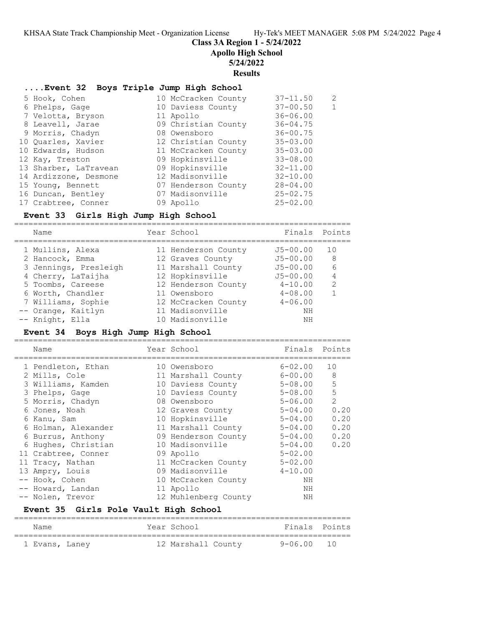**Class 3A Region 1 - 5/24/2022**

**Apollo High School**

# **5/24/2022**

**Results**

# **....Event 32 Boys Triple Jump High School**

| 5 Hook, Cohen         | 10 McCracken County | $37 - 11.50$ | $\mathcal{L}$ |
|-----------------------|---------------------|--------------|---------------|
| 6 Phelps, Gage        | 10 Daviess County   | $37 - 00.50$ |               |
| 7 Velotta, Bryson     | 11 Apollo           | $36 - 06.00$ |               |
| 8 Leavell, Jarae      | 09 Christian County | $36 - 04.75$ |               |
| 9 Morris, Chadyn      | 08 Owensboro        | $36 - 00.75$ |               |
| 10 Quarles, Xavier    | 12 Christian County | $35 - 03.00$ |               |
| 10 Edwards, Hudson    | 11 McCracken County | $35 - 03.00$ |               |
| 12 Kay, Treston       | 09 Hopkinsville     | $33 - 08.00$ |               |
| 13 Sharber, LaTravean | 09 Hopkinsville     | $32 - 11.00$ |               |
| 14 Ardizzone, Desmone | 12 Madisonville     | $32 - 10.00$ |               |
| 15 Young, Bennett     | 07 Henderson County | $28 - 04.00$ |               |
| 16 Duncan, Bentley    | 07 Madisonville     | $25 - 02.75$ |               |
| 17 Crabtree, Conner   | 09 Apollo           | $25 - 02.00$ |               |

### **Event 33 Girls High Jump High School**

| Name                  | Year School         | Finals Points |               |
|-----------------------|---------------------|---------------|---------------|
| 1 Mullins, Alexa      | 11 Henderson County | $J5 - 00.00$  | 1 N           |
| 2 Hancock, Emma       | 12 Graves County    | $J5 - 00.00$  | 8             |
| 3 Jennings, Presleigh | 11 Marshall County  | $J5 - 00.00$  | 6             |
| 4 Cherry, LaTaijha    | 12 Hopkinsville     | $J5 - 00.00$  |               |
| 5 Toombs, Careese     | 12 Henderson County | $4 - 10.00$   | $\mathcal{L}$ |
| 6 Worth, Chandler     | 11 Owensboro        | $4 - 08.00$   |               |
| 7 Williams, Sophie    | 12 McCracken County | $4 - 06.00$   |               |
| -- Orange, Kaitlyn    | 11 Madisonville     | NΗ            |               |
| -- Knight, Ella       | 10 Madisonville     | NH            |               |

# **Event 34 Boys High Jump High School**

| Name                | Year School          | Finals      | Points        |
|---------------------|----------------------|-------------|---------------|
| 1 Pendleton, Ethan  | 10 Owensboro         | $6 - 02.00$ | 10            |
| 2 Mills, Cole       | 11 Marshall County   | 6-00.00     | 8             |
| 3 Williams, Kamden  | 10 Daviess County    | 5-08.00     | 5             |
| 3 Phelps, Gage      | 10 Daviess County    | 5-08.00     | 5             |
| 5 Morris, Chadyn    | 08 Owensboro         | $5 - 06.00$ | $\mathcal{L}$ |
| 6 Jones, Noah       | 12 Graves County     | $5 - 04.00$ | 0.20          |
| 6 Kanu, Sam         | 10 Hopkinsville      | 5-04.00     | 0.20          |
| 6 Holman, Alexander | 11 Marshall County   | $5 - 04.00$ | 0.20          |
| 6 Burrus, Anthony   | 09 Henderson County  | $5 - 04.00$ | 0.20          |
| 6 Hughes, Christian | 10 Madisonville      | $5 - 04.00$ | 0.20          |
| 11 Crabtree, Conner | 09 Apollo            | $5 - 02.00$ |               |
| 11 Tracy, Nathan    | 11 McCracken County  | $5 - 02.00$ |               |
| 13 Ampry, Louis     | 09 Madisonville      | $4 - 10.00$ |               |
| -- Hook, Cohen      | 10 McCracken County  | ΝH          |               |
| -- Howard, Landan   | 11 Apollo            | ΝH          |               |
| -- Nolen, Trevor    | 12 Muhlenberg County | ΝH          |               |
|                     |                      |             |               |

# **Event 35 Girls Pole Vault High School**

| Name           |  | Year School        |            | Finals Points |
|----------------|--|--------------------|------------|---------------|
| 1 Evans, Laney |  | 12 Marshall County | 9-06.00 10 |               |